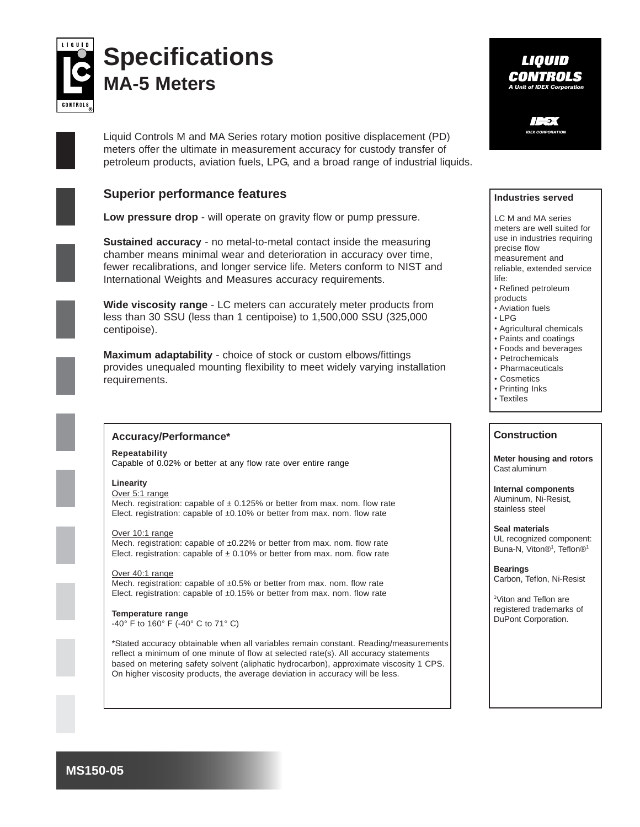

# **Specifications MA-5 Meters**

Liquid Controls M and MA Series rotary motion positive displacement (PD) meters offer the ultimate in measurement accuracy for custody transfer of petroleum products, aviation fuels, LPG, and a broad range of industrial liquids.

## **Superior performance features**

**Low pressure drop** - will operate on gravity flow or pump pressure.

**Sustained accuracy** - no metal-to-metal contact inside the measuring chamber means minimal wear and deterioration in accuracy over time, fewer recalibrations, and longer service life. Meters conform to NIST and International Weights and Measures accuracy requirements.

**Wide viscosity range** - LC meters can accurately meter products from less than 30 SSU (less than 1 centipoise) to 1,500,000 SSU (325,000 centipoise).

**Maximum adaptability** - choice of stock or custom elbows/fittings provides unequaled mounting flexibility to meet widely varying installation requirements.



#### **Accuracy/Performance\***

**Repeatability** Capable of 0.02% or better at any flow rate over entire range

#### **Linearity**

Over 5:1 range Mech. registration: capable of  $\pm$  0.125% or better from max. nom. flow rate Elect. registration: capable of ±0.10% or better from max. nom. flow rate

Over 10:1 range Mech. registration: capable of ±0.22% or better from max. nom. flow rate Elect. registration: capable of  $\pm$  0.10% or better from max. nom. flow rate

Over 40:1 range Mech. registration: capable of ±0.5% or better from max. nom. flow rate Elect. registration: capable of ±0.15% or better from max. nom. flow rate

**Temperature range** -40° F to 160° F (-40° C to 71° C)

\*Stated accuracy obtainable when all variables remain constant. Reading/measurements reflect a minimum of one minute of flow at selected rate(s). All accuracy statements based on metering safety solvent (aliphatic hydrocarbon), approximate viscosity 1 CPS. On higher viscosity products, the average deviation in accuracy will be less.

### LIOUID **CONTROLS A Unit of IDEX Corpor**

**IDEX CORPORATION**

#### **Industries served**

LC M and MA series meters are well suited for use in industries requiring precise flow measurement and reliable, extended service life:

- Refined petroleum
- products
- Aviation fuels
- $\cdot$  LPG
- Agricultural chemicals
- Paints and coatings
- Foods and beverages
- Petrochemicals
- Pharmaceuticals • Cosmetics
- Printing Inks
- Textiles

#### **Construction**

**Meter housing and rotors** Cast aluminum

**Internal components** Aluminum, Ni-Resist, stainless steel

**Seal materials** UL recognized component: Buna-N, Viton®<sup>1</sup>, Teflon®<sup>1</sup>

**Bearings** Carbon, Teflon, Ni-Resist

1 Viton and Teflon are registered trademarks of DuPont Corporation.